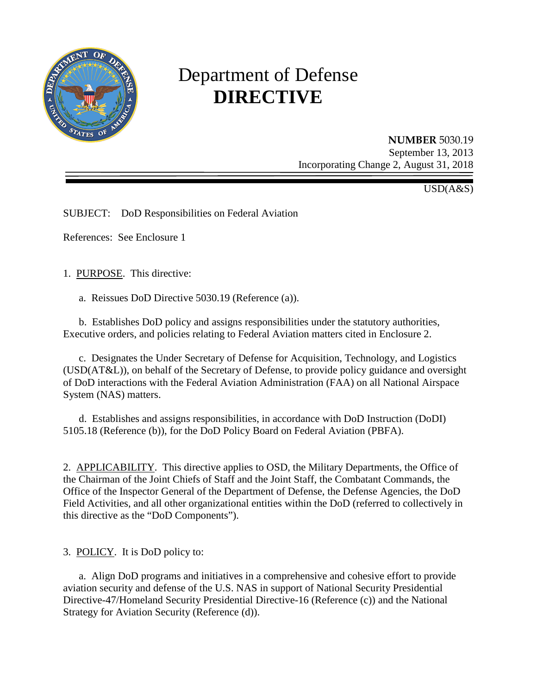

# Department of Defense **DIRECTIVE**

**NUMBER** 5030.19 September 13, 2013 Incorporating Change 2, August 31, 2018

USD(A&S)

SUBJECT: DoD Responsibilities on Federal Aviation

References: See Enclosure 1

1. PURPOSE. This directive:

a. Reissues DoD Directive 5030.19 (Reference (a)).

 b. Establishes DoD policy and assigns responsibilities under the statutory authorities, Executive orders, and policies relating to Federal Aviation matters cited in Enclosure 2.

c. Designates the Under Secretary of Defense for Acquisition, Technology, and Logistics (USD(AT&L)), on behalf of the Secretary of Defense, to provide policy guidance and oversight of DoD interactions with the Federal Aviation Administration (FAA) on all National Airspace System (NAS) matters.

 d. Establishes and assigns responsibilities, in accordance with DoD Instruction (DoDI) 5105.18 (Reference (b)), for the DoD Policy Board on Federal Aviation (PBFA).

2. APPLICABILITY. This directive applies to OSD, the Military Departments, the Office of the Chairman of the Joint Chiefs of Staff and the Joint Staff, the Combatant Commands, the Office of the Inspector General of the Department of Defense, the Defense Agencies, the DoD Field Activities, and all other organizational entities within the DoD (referred to collectively in this directive as the "DoD Components").

3. POLICY. It is DoD policy to:

 a. Align DoD programs and initiatives in a comprehensive and cohesive effort to provide aviation security and defense of the U.S. NAS in support of National Security Presidential Directive-47/Homeland Security Presidential Directive-16 (Reference (c)) and the National Strategy for Aviation Security (Reference (d)).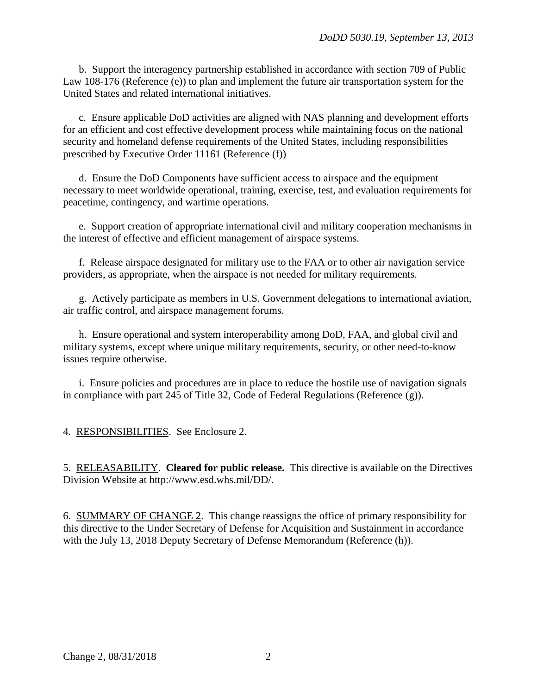b. Support the interagency partnership established in accordance with section 709 of Public Law 108-176 (Reference (e)) to plan and implement the future air transportation system for the United States and related international initiatives.

c. Ensure applicable DoD activities are aligned with NAS planning and development efforts for an efficient and cost effective development process while maintaining focus on the national security and homeland defense requirements of the United States, including responsibilities prescribed by Executive Order 11161 (Reference (f))

 d. Ensure the DoD Components have sufficient access to airspace and the equipment necessary to meet worldwide operational, training, exercise, test, and evaluation requirements for peacetime, contingency, and wartime operations.

e. Support creation of appropriate international civil and military cooperation mechanisms in the interest of effective and efficient management of airspace systems.

f. Release airspace designated for military use to the FAA or to other air navigation service providers, as appropriate, when the airspace is not needed for military requirements.

g. Actively participate as members in U.S. Government delegations to international aviation, air traffic control, and airspace management forums.

 h. Ensure operational and system interoperability among DoD, FAA, and global civil and military systems, except where unique military requirements, security, or other need-to-know issues require otherwise.

 i. Ensure policies and procedures are in place to reduce the hostile use of navigation signals in compliance with part 245 of Title 32, Code of Federal Regulations (Reference (g)).

4. RESPONSIBILITIES. See Enclosure 2.

5. RELEASABILITY. **Cleared for public release.** This directive is available on the Directives Division Website at http://www.esd.whs.mil/DD/.

6. SUMMARY OF CHANGE 2. This change reassigns the office of primary responsibility for this directive to the Under Secretary of Defense for Acquisition and Sustainment in accordance with the July 13, 2018 Deputy Secretary of Defense Memorandum (Reference (h)).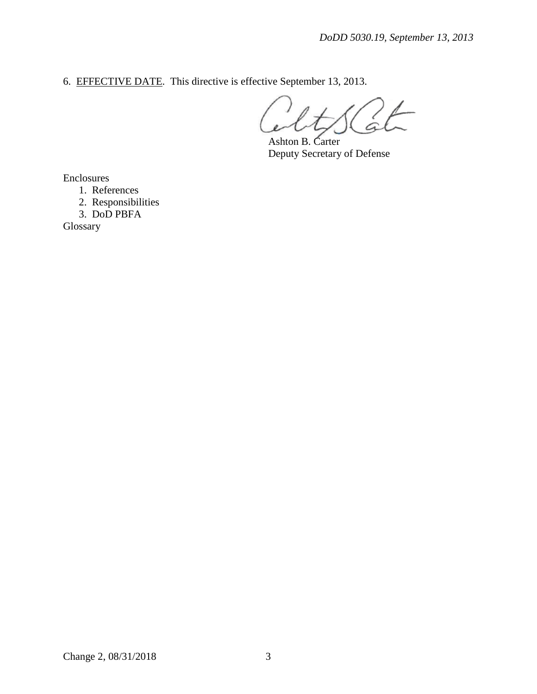6. EFFECTIVE DATE. This directive is effective September 13, 2013.

Ashton B. Carter Deputy Secretary of Defense

Enclosures

1. References

 2. Responsibilities 3. DoD PBFA

Glossary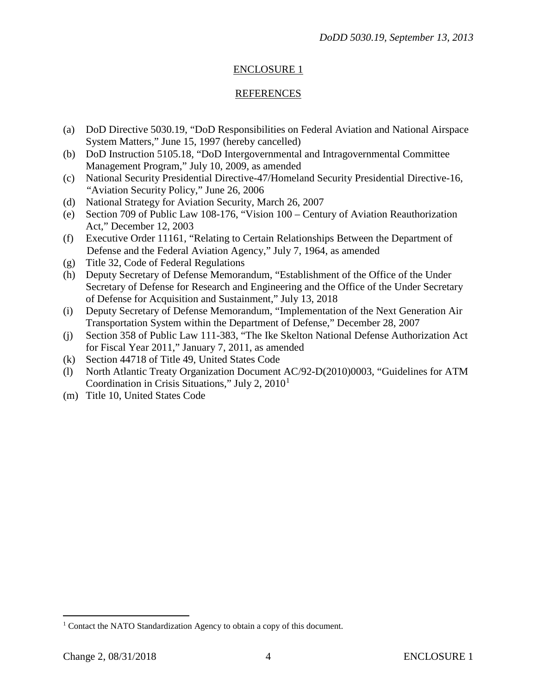## ENCLOSURE 1

## **REFERENCES**

- (a) DoD Directive 5030.19, "DoD Responsibilities on Federal Aviation and National Airspace System Matters," June 15, 1997 (hereby cancelled)
- (b) DoD Instruction 5105.18, "DoD Intergovernmental and Intragovernmental Committee Management Program," July 10, 2009, as amended
- (c) National Security Presidential Directive-47/Homeland Security Presidential Directive-16, "Aviation Security Policy," June 26, 2006
- (d) National Strategy for Aviation Security, March 26, 2007
- (e) Section 709 of Public Law 108-176, "Vision 100 Century of Aviation Reauthorization Act," December 12, 2003
- (f) Executive Order 11161, "Relating to Certain Relationships Between the Department of Defense and the Federal Aviation Agency," July 7, 1964, as amended
- (g) Title 32, Code of Federal Regulations
- (h) Deputy Secretary of Defense Memorandum, "Establishment of the Office of the Under Secretary of Defense for Research and Engineering and the Office of the Under Secretary of Defense for Acquisition and Sustainment," July 13, 2018
- (i) Deputy Secretary of Defense Memorandum, "Implementation of the Next Generation Air Transportation System within the Department of Defense," December 28, 2007
- (j) Section 358 of Public Law 111-383, "The Ike Skelton National Defense Authorization Act for Fiscal Year 2011," January 7, 2011, as amended
- (k) Section 44718 of Title 49, United States Code
- (l) North Atlantic Treaty Organization Document AC/92-D(2010)0003, "Guidelines for ATM Coordination in Crisis Situations," July 2,  $2010<sup>1</sup>$  $2010<sup>1</sup>$  $2010<sup>1</sup>$
- (m) Title 10, United States Code

 $\overline{a}$ 

<span id="page-3-0"></span><sup>&</sup>lt;sup>1</sup> Contact the NATO Standardization Agency to obtain a copy of this document.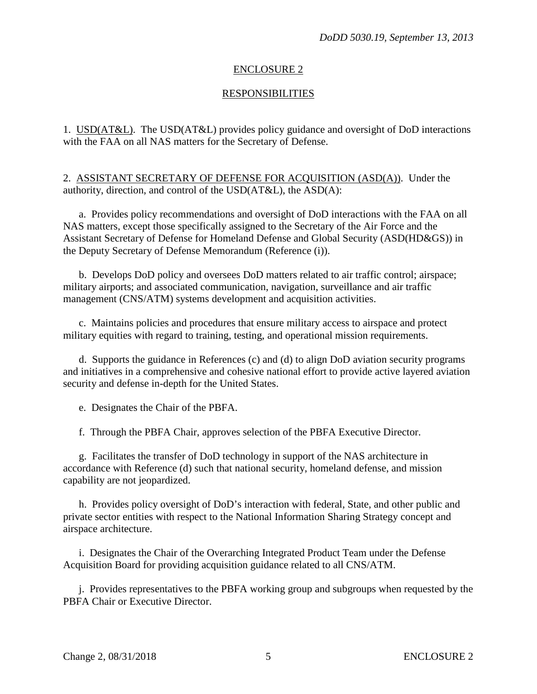## ENCLOSURE 2

## **RESPONSIBILITIES**

1. USD(AT&L). The USD(AT&L) provides policy guidance and oversight of DoD interactions with the FAA on all NAS matters for the Secretary of Defense.

2. ASSISTANT SECRETARY OF DEFENSE FOR ACQUISITION (ASD(A)). Under the authority, direction, and control of the USD(AT&L), the ASD(A):

a. Provides policy recommendations and oversight of DoD interactions with the FAA on all NAS matters, except those specifically assigned to the Secretary of the Air Force and the Assistant Secretary of Defense for Homeland Defense and Global Security (ASD(HD&GS)) in the Deputy Secretary of Defense Memorandum (Reference (i)).

 b. Develops DoD policy and oversees DoD matters related to air traffic control; airspace; military airports; and associated communication, navigation, surveillance and air traffic management (CNS/ATM) systems development and acquisition activities.

 c. Maintains policies and procedures that ensure military access to airspace and protect military equities with regard to training, testing, and operational mission requirements.

 d. Supports the guidance in References (c) and (d) to align DoD aviation security programs and initiatives in a comprehensive and cohesive national effort to provide active layered aviation security and defense in-depth for the United States.

e. Designates the Chair of the PBFA.

f. Through the PBFA Chair, approves selection of the PBFA Executive Director.

 g. Facilitates the transfer of DoD technology in support of the NAS architecture in accordance with Reference (d) such that national security, homeland defense, and mission capability are not jeopardized.

 h. Provides policy oversight of DoD's interaction with federal, State, and other public and private sector entities with respect to the National Information Sharing Strategy concept and airspace architecture.

 i. Designates the Chair of the Overarching Integrated Product Team under the Defense Acquisition Board for providing acquisition guidance related to all CNS/ATM.

 j. Provides representatives to the PBFA working group and subgroups when requested by the PBFA Chair or Executive Director.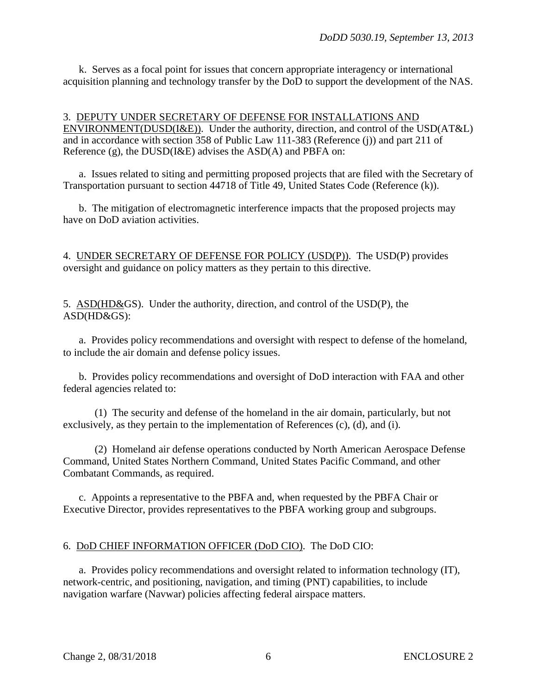k. Serves as a focal point for issues that concern appropriate interagency or international acquisition planning and technology transfer by the DoD to support the development of the NAS.

3. DEPUTY UNDER SECRETARY OF DEFENSE FOR INSTALLATIONS AND ENVIRONMENT(DUSD(I&E)). Under the authority, direction, and control of the USD(AT&L) and in accordance with section 358 of Public Law 111-383 (Reference (j)) and part 211 of Reference (g), the DUSD(I&E) advises the ASD(A) and PBFA on:

a. Issues related to siting and permitting proposed projects that are filed with the Secretary of Transportation pursuant to section 44718 of Title 49, United States Code (Reference (k)).

b. The mitigation of electromagnetic interference impacts that the proposed projects may have on DoD aviation activities.

4. UNDER SECRETARY OF DEFENSE FOR POLICY (USD(P)). The USD(P) provides oversight and guidance on policy matters as they pertain to this directive.

5. ASD(HD&GS). Under the authority, direction, and control of the USD(P), the ASD(HD&GS):

a. Provides policy recommendations and oversight with respect to defense of the homeland, to include the air domain and defense policy issues.

 b. Provides policy recommendations and oversight of DoD interaction with FAA and other federal agencies related to:

(1) The security and defense of the homeland in the air domain, particularly, but not exclusively, as they pertain to the implementation of References (c), (d), and (i).

(2) Homeland air defense operations conducted by North American Aerospace Defense Command, United States Northern Command, United States Pacific Command, and other Combatant Commands, as required.

c. Appoints a representative to the PBFA and, when requested by the PBFA Chair or Executive Director, provides representatives to the PBFA working group and subgroups.

#### 6. DoD CHIEF INFORMATION OFFICER (DoD CIO). The DoD CIO:

 a. Provides policy recommendations and oversight related to information technology (IT), network-centric, and positioning, navigation, and timing (PNT) capabilities, to include navigation warfare (Navwar) policies affecting federal airspace matters.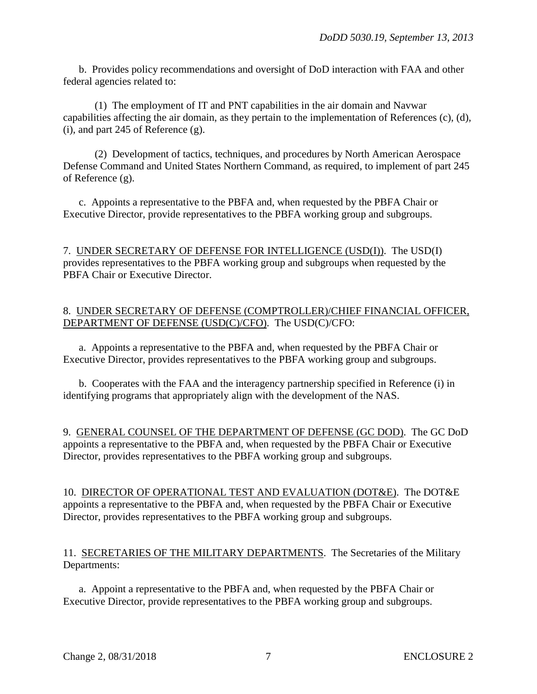b. Provides policy recommendations and oversight of DoD interaction with FAA and other federal agencies related to:

(1) The employment of IT and PNT capabilities in the air domain and Navwar capabilities affecting the air domain, as they pertain to the implementation of References (c), (d), (i), and part 245 of Reference (g).

(2) Development of tactics, techniques, and procedures by North American Aerospace Defense Command and United States Northern Command, as required, to implement of part 245 of Reference (g).

 c. Appoints a representative to the PBFA and, when requested by the PBFA Chair or Executive Director, provide representatives to the PBFA working group and subgroups.

7. UNDER SECRETARY OF DEFENSE FOR INTELLIGENCE (USD(I)). The USD(I) provides representatives to the PBFA working group and subgroups when requested by the PBFA Chair or Executive Director.

## 8. UNDER SECRETARY OF DEFENSE (COMPTROLLER)/CHIEF FINANCIAL OFFICER, DEPARTMENT OF DEFENSE (USD(C)/CFO). The USD(C)/CFO:

 a. Appoints a representative to the PBFA and, when requested by the PBFA Chair or Executive Director, provides representatives to the PBFA working group and subgroups.

 b. Cooperates with the FAA and the interagency partnership specified in Reference (i) in identifying programs that appropriately align with the development of the NAS.

9. GENERAL COUNSEL OF THE DEPARTMENT OF DEFENSE (GC DOD). The GC DoD appoints a representative to the PBFA and, when requested by the PBFA Chair or Executive Director, provides representatives to the PBFA working group and subgroups.

10. DIRECTOR OF OPERATIONAL TEST AND EVALUATION (DOT&E). The DOT&E appoints a representative to the PBFA and, when requested by the PBFA Chair or Executive Director, provides representatives to the PBFA working group and subgroups.

## 11. SECRETARIES OF THE MILITARY DEPARTMENTS. The Secretaries of the Military Departments:

a. Appoint a representative to the PBFA and, when requested by the PBFA Chair or Executive Director, provide representatives to the PBFA working group and subgroups.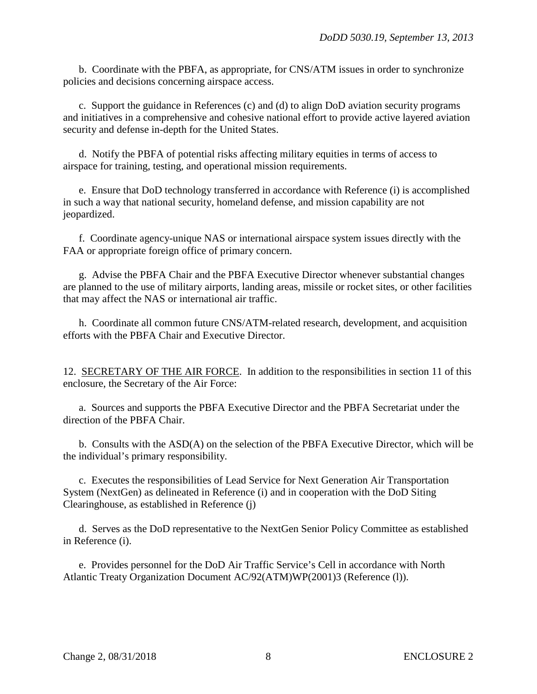b. Coordinate with the PBFA, as appropriate, for CNS/ATM issues in order to synchronize policies and decisions concerning airspace access.

 c. Support the guidance in References (c) and (d) to align DoD aviation security programs and initiatives in a comprehensive and cohesive national effort to provide active layered aviation security and defense in-depth for the United States.

 d. Notify the PBFA of potential risks affecting military equities in terms of access to airspace for training, testing, and operational mission requirements.

 e. Ensure that DoD technology transferred in accordance with Reference (i) is accomplished in such a way that national security, homeland defense, and mission capability are not jeopardized.

 f. Coordinate agency-unique NAS or international airspace system issues directly with the FAA or appropriate foreign office of primary concern.

 g. Advise the PBFA Chair and the PBFA Executive Director whenever substantial changes are planned to the use of military airports, landing areas, missile or rocket sites, or other facilities that may affect the NAS or international air traffic.

 h. Coordinate all common future CNS/ATM-related research, development, and acquisition efforts with the PBFA Chair and Executive Director.

12. SECRETARY OF THE AIR FORCE. In addition to the responsibilities in section 11 of this enclosure, the Secretary of the Air Force:

 a. Sources and supports the PBFA Executive Director and the PBFA Secretariat under the direction of the PBFA Chair.

 b. Consults with the ASD(A) on the selection of the PBFA Executive Director, which will be the individual's primary responsibility.

 c. Executes the responsibilities of Lead Service for Next Generation Air Transportation System (NextGen) as delineated in Reference (i) and in cooperation with the DoD Siting Clearinghouse, as established in Reference (j)

d. Serves as the DoD representative to the NextGen Senior Policy Committee as established in Reference (i).

 e. Provides personnel for the DoD Air Traffic Service's Cell in accordance with North Atlantic Treaty Organization Document AC/92(ATM)WP(2001)3 (Reference (1)).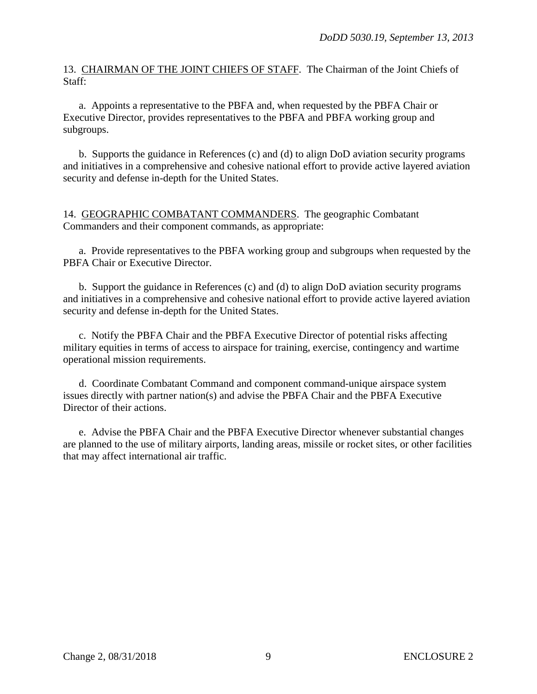13. CHAIRMAN OF THE JOINT CHIEFS OF STAFF. The Chairman of the Joint Chiefs of Staff:

 a. Appoints a representative to the PBFA and, when requested by the PBFA Chair or Executive Director, provides representatives to the PBFA and PBFA working group and subgroups.

 b. Supports the guidance in References (c) and (d) to align DoD aviation security programs and initiatives in a comprehensive and cohesive national effort to provide active layered aviation security and defense in-depth for the United States.

14. GEOGRAPHIC COMBATANT COMMANDERS. The geographic Combatant Commanders and their component commands, as appropriate:

a. Provide representatives to the PBFA working group and subgroups when requested by the PBFA Chair or Executive Director.

 b. Support the guidance in References (c) and (d) to align DoD aviation security programs and initiatives in a comprehensive and cohesive national effort to provide active layered aviation security and defense in-depth for the United States.

 c. Notify the PBFA Chair and the PBFA Executive Director of potential risks affecting military equities in terms of access to airspace for training, exercise, contingency and wartime operational mission requirements.

 d. Coordinate Combatant Command and component command-unique airspace system issues directly with partner nation(s) and advise the PBFA Chair and the PBFA Executive Director of their actions.

 e. Advise the PBFA Chair and the PBFA Executive Director whenever substantial changes are planned to the use of military airports, landing areas, missile or rocket sites, or other facilities that may affect international air traffic.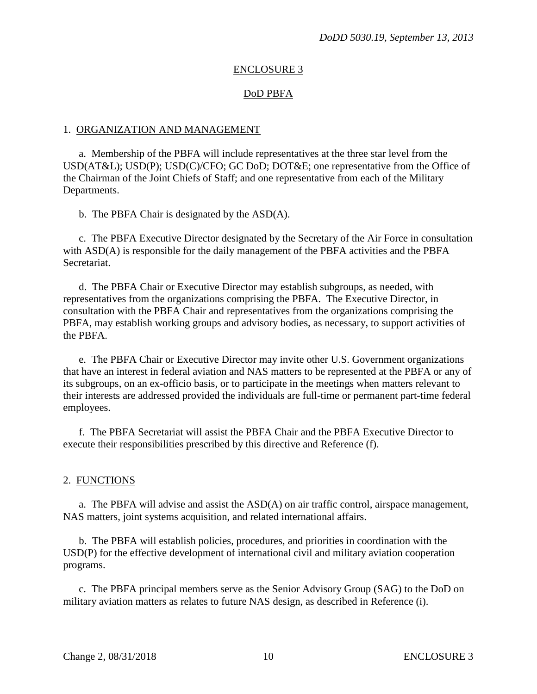## ENCLOSURE 3

#### DoD PBFA

#### 1. ORGANIZATION AND MANAGEMENT

 a. Membership of the PBFA will include representatives at the three star level from the USD(AT&L); USD(P); USD(C)/CFO; GC DoD; DOT&E; one representative from the Office of the Chairman of the Joint Chiefs of Staff; and one representative from each of the Military Departments.

b. The PBFA Chair is designated by the ASD(A).

c. The PBFA Executive Director designated by the Secretary of the Air Force in consultation with ASD(A) is responsible for the daily management of the PBFA activities and the PBFA Secretariat.

 d. The PBFA Chair or Executive Director may establish subgroups, as needed, with representatives from the organizations comprising the PBFA. The Executive Director, in consultation with the PBFA Chair and representatives from the organizations comprising the PBFA, may establish working groups and advisory bodies, as necessary, to support activities of the PBFA.

 e. The PBFA Chair or Executive Director may invite other U.S. Government organizations that have an interest in federal aviation and NAS matters to be represented at the PBFA or any of its subgroups, on an ex-officio basis, or to participate in the meetings when matters relevant to their interests are addressed provided the individuals are full-time or permanent part-time federal employees.

 f. The PBFA Secretariat will assist the PBFA Chair and the PBFA Executive Director to execute their responsibilities prescribed by this directive and Reference (f).

#### 2. FUNCTIONS

a. The PBFA will advise and assist the ASD(A) on air traffic control, airspace management, NAS matters, joint systems acquisition, and related international affairs.

 b. The PBFA will establish policies, procedures, and priorities in coordination with the USD(P) for the effective development of international civil and military aviation cooperation programs.

 c. The PBFA principal members serve as the Senior Advisory Group (SAG) to the DoD on military aviation matters as relates to future NAS design, as described in Reference (i).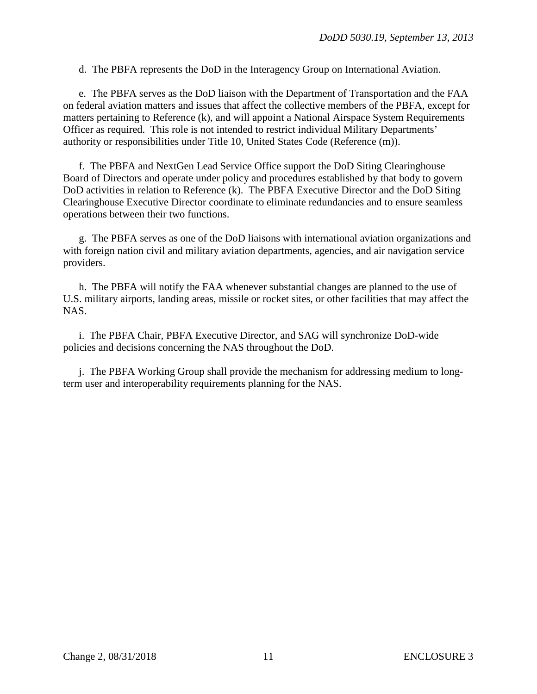d. The PBFA represents the DoD in the Interagency Group on International Aviation.

 e. The PBFA serves as the DoD liaison with the Department of Transportation and the FAA on federal aviation matters and issues that affect the collective members of the PBFA, except for matters pertaining to Reference (k), and will appoint a National Airspace System Requirements Officer as required. This role is not intended to restrict individual Military Departments' authority or responsibilities under Title 10, United States Code (Reference (m)).

f. The PBFA and NextGen Lead Service Office support the DoD Siting Clearinghouse Board of Directors and operate under policy and procedures established by that body to govern DoD activities in relation to Reference (k). The PBFA Executive Director and the DoD Siting Clearinghouse Executive Director coordinate to eliminate redundancies and to ensure seamless operations between their two functions.

 g. The PBFA serves as one of the DoD liaisons with international aviation organizations and with foreign nation civil and military aviation departments, agencies, and air navigation service providers.

 h. The PBFA will notify the FAA whenever substantial changes are planned to the use of U.S. military airports, landing areas, missile or rocket sites, or other facilities that may affect the NAS.

 i. The PBFA Chair, PBFA Executive Director, and SAG will synchronize DoD-wide policies and decisions concerning the NAS throughout the DoD.

 j. The PBFA Working Group shall provide the mechanism for addressing medium to longterm user and interoperability requirements planning for the NAS.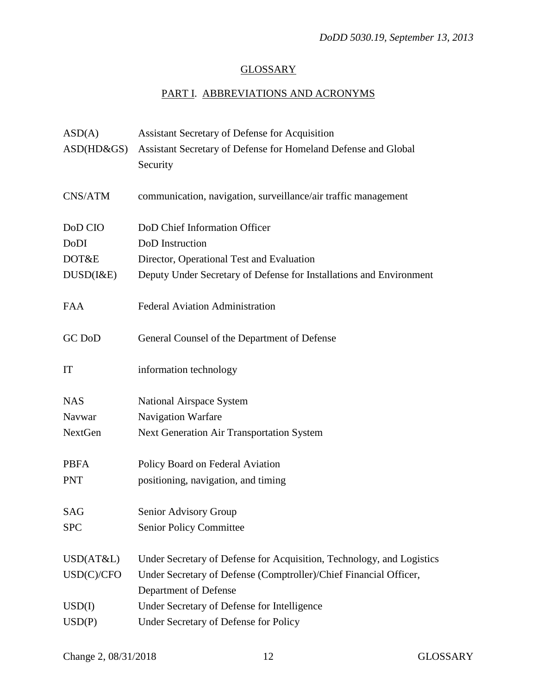# **GLOSSARY**

# PART I. ABBREVIATIONS AND ACRONYMS

| ASD(A)        | <b>Assistant Secretary of Defense for Acquisition</b>                      |
|---------------|----------------------------------------------------------------------------|
| $ASD(HD\&GS)$ | Assistant Secretary of Defense for Homeland Defense and Global<br>Security |
| CNS/ATM       | communication, navigation, surveillance/air traffic management             |
| DoD CIO       | DoD Chief Information Officer                                              |
| DoDI          | DoD Instruction                                                            |
| DOT&E         | Director, Operational Test and Evaluation                                  |
| DUSD(I&E)     | Deputy Under Secretary of Defense for Installations and Environment        |
| <b>FAA</b>    | <b>Federal Aviation Administration</b>                                     |
| <b>GC</b> DoD | General Counsel of the Department of Defense                               |
| IT            | information technology                                                     |
| <b>NAS</b>    | National Airspace System                                                   |
| Navwar        | Navigation Warfare                                                         |
| NextGen       | <b>Next Generation Air Transportation System</b>                           |
| <b>PBFA</b>   | Policy Board on Federal Aviation                                           |
| <b>PNT</b>    | positioning, navigation, and timing                                        |
| SAG           | Senior Advisory Group                                                      |
| <b>SPC</b>    | <b>Senior Policy Committee</b>                                             |
| USD(AT&L)     | Under Secretary of Defense for Acquisition, Technology, and Logistics      |
| USD(C)/CFO    | Under Secretary of Defense (Comptroller)/Chief Financial Officer,          |
|               | Department of Defense                                                      |
| USD(I)        | Under Secretary of Defense for Intelligence                                |
| USD(P)        | Under Secretary of Defense for Policy                                      |